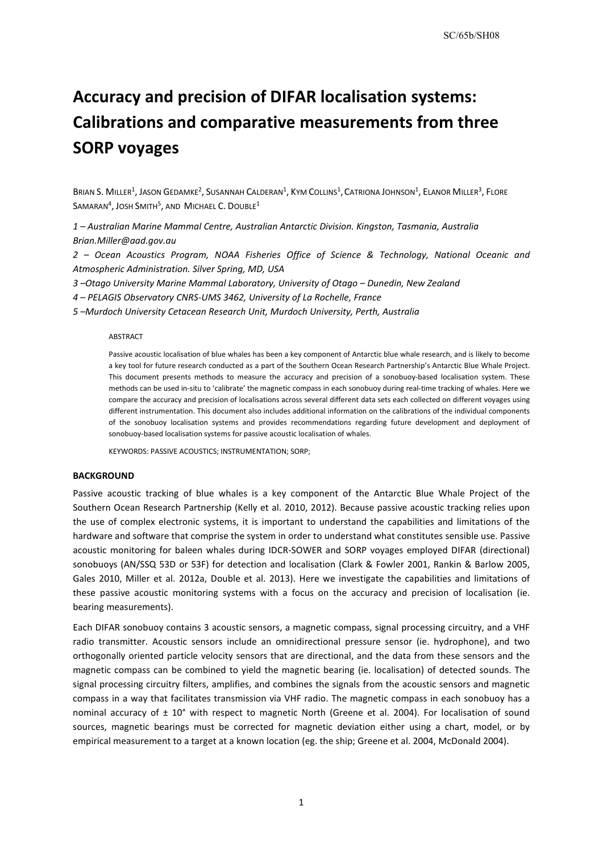# **Accuracy and precision of DIFAR localisation systems: Calibrations and comparative measurements from three SORP voyages**

BRIAN S. MILLER<sup>1</sup>, JASON GEDAMKE<sup>2</sup>, SUSANNAH CALDERAN<sup>1</sup>, KYM COLLINS<sup>1</sup>, CATRIONA JOHNSON<sup>1</sup>, ELANOR MILLER<sup>3</sup>, FLORE SAMARAN<sup>4</sup>, JOSH SMITH<sup>5</sup>, AND MICHAEL C. DOUBLE<sup>1</sup>

*1 – Australian Marine Mammal Centre, Australian Antarctic Division. Kingston, Tasmania, Australia Brian.Miller@aad.gov.au* 

*2 – Ocean Acoustics Program, NOAA Fisheries Office of Science & Technology, National Oceanic and Atmospheric Administration. Silver Spring, MD, USA*

*3 –Otago University Marine Mammal Laboratory, University of Otago – Dunedin, New Zealand*

*4 – PELAGIS Observatory CNRS-UMS 3462, University of La Rochelle, France*

*5 –Murdoch University Cetacean Research Unit, Murdoch University, Perth, Australia*

#### **ABSTRACT**

Passive acoustic localisation of blue whales has been a key component of Antarctic blue whale research, and is likely to become a key tool for future research conducted as a part of the Southern Ocean Research Partnership's Antarctic Blue Whale Project. This document presents methods to measure the accuracy and precision of a sonobuoy-based localisation system. These methods can be used in-situ to 'calibrate' the magnetic compass in each sonobuoy during real-time tracking of whales. Here we compare the accuracy and precision of localisations across several different data sets each collected on different voyages using different instrumentation. This document also includes additional information on the calibrations of the individual components of the sonobuoy localisation systems and provides recommendations regarding future development and deployment of sonobuoy-based localisation systems for passive acoustic localisation of whales.

KEYWORDS: PASSIVE ACOUSTICS; INSTRUMENTATION; SORP;

#### **BACKGROUND**

Passive acoustic tracking of blue whales is a key component of the Antarctic Blue Whale Project of the Southern Ocean Research Partnership (Kelly et al. 2010, 2012). Because passive acoustic tracking relies upon the use of complex electronic systems, it is important to understand the capabilities and limitations of the hardware and software that comprise the system in order to understand what constitutes sensible use. Passive acoustic monitoring for baleen whales during IDCR-SOWER and SORP voyages employed DIFAR (directional) sonobuoys (AN/SSQ 53D or 53F) for detection and localisation (Clark & Fowler 2001, Rankin & Barlow 2005, Gales 2010, Miller et al. 2012a, Double et al. 2013). Here we investigate the capabilities and limitations of these passive acoustic monitoring systems with a focus on the accuracy and precision of localisation (ie. bearing measurements).

Each DIFAR sonobuoy contains 3 acoustic sensors, a magnetic compass, signal processing circuitry, and a VHF radio transmitter. Acoustic sensors include an omnidirectional pressure sensor (ie. hydrophone), and two orthogonally oriented particle velocity sensors that are directional, and the data from these sensors and the magnetic compass can be combined to yield the magnetic bearing (ie. localisation) of detected sounds. The signal processing circuitry filters, amplifies, and combines the signals from the acoustic sensors and magnetic compass in a way that facilitates transmission via VHF radio. The magnetic compass in each sonobuoy has a nominal accuracy of  $\pm$  10° with respect to magnetic North (Greene et al. 2004). For localisation of sound sources, magnetic bearings must be corrected for magnetic deviation either using a chart, model, or by empirical measurement to a target at a known location (eg. the ship; Greene et al. 2004, McDonald 2004).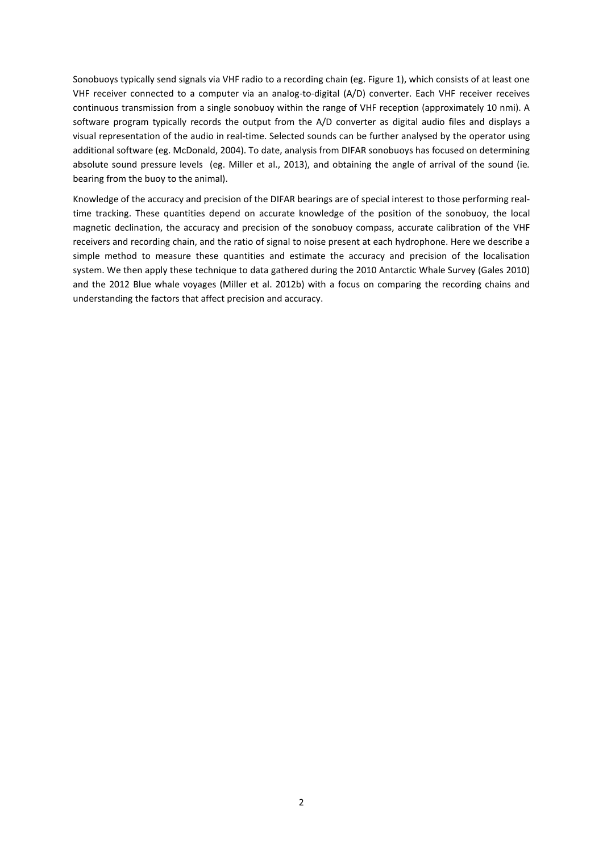Sonobuoys typically send signals via VHF radio to a recording chain (eg[. Figure 1\)](#page-2-0), which consists of at least one VHF receiver connected to a computer via an analog-to-digital (A/D) converter. Each VHF receiver receives continuous transmission from a single sonobuoy within the range of VHF reception (approximately 10 nmi). A software program typically records the output from the A/D converter as digital audio files and displays a visual representation of the audio in real-time. Selected sounds can be further analysed by the operator using additional software (eg. McDonald, 2004). To date, analysis from DIFAR sonobuoys has focused on determining absolute sound pressure levels (eg. Miller et al., 2013), and obtaining the angle of arrival of the sound (ie*.* bearing from the buoy to the animal).

Knowledge of the accuracy and precision of the DIFAR bearings are of special interest to those performing realtime tracking. These quantities depend on accurate knowledge of the position of the sonobuoy, the local magnetic declination, the accuracy and precision of the sonobuoy compass, accurate calibration of the VHF receivers and recording chain, and the ratio of signal to noise present at each hydrophone. Here we describe a simple method to measure these quantities and estimate the accuracy and precision of the localisation system. We then apply these technique to data gathered during the 2010 Antarctic Whale Survey (Gales 2010) and the 2012 Blue whale voyages (Miller et al. 2012b) with a focus on comparing the recording chains and understanding the factors that affect precision and accuracy.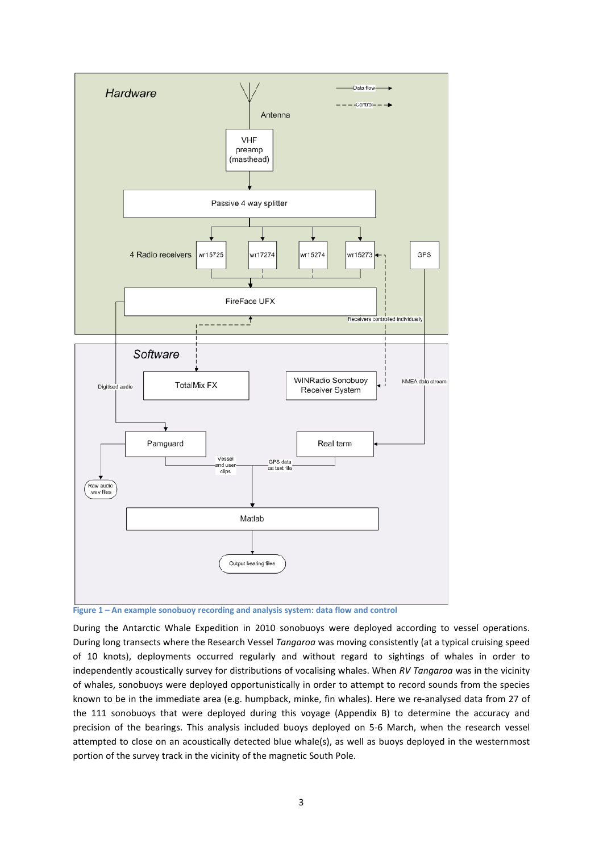

<span id="page-2-0"></span>**Figure 1 – An example sonobuoy recording and analysis system: data flow and control**

During the Antarctic Whale Expedition in 2010 sonobuoys were deployed according to vessel operations. During long transects where the Research Vessel *Tangaroa* was moving consistently (at a typical cruising speed of 10 knots), deployments occurred regularly and without regard to sightings of whales in order to independently acoustically survey for distributions of vocalising whales. When *RV Tangaroa* was in the vicinity of whales, sonobuoys were deployed opportunistically in order to attempt to record sounds from the species known to be in the immediate area (e.g. humpback, minke, fin whales). Here we re-analysed data from 27 of the 111 sonobuoys that were deployed during this voyage (Appendix B) to determine the accuracy and precision of the bearings. This analysis included buoys deployed on 5-6 March, when the research vessel attempted to close on an acoustically detected blue whale(s), as well as buoys deployed in the westernmost portion of the survey track in the vicinity of the magnetic South Pole.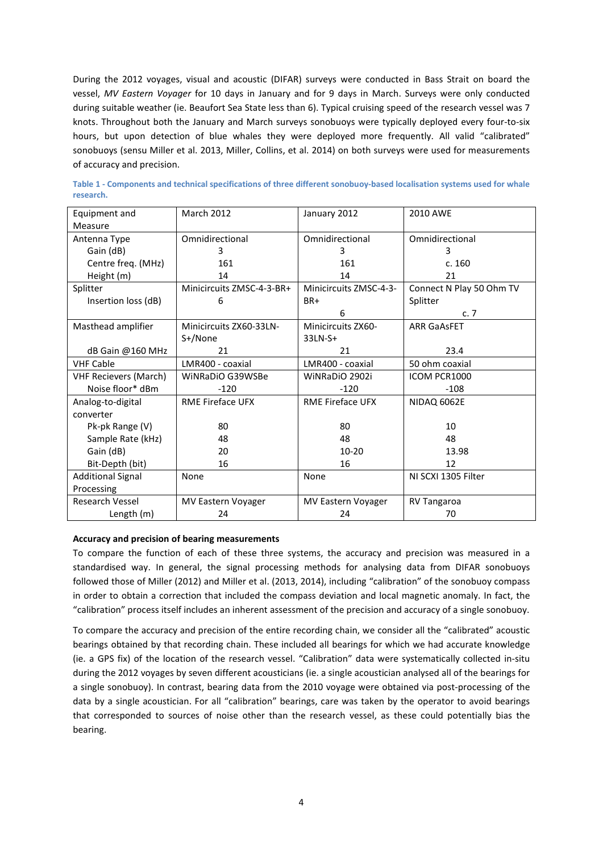During the 2012 voyages, visual and acoustic (DIFAR) surveys were conducted in Bass Strait on board the vessel, *MV Eastern Voyager* for 10 days in January and for 9 days in March. Surveys were only conducted during suitable weather (ie. Beaufort Sea State less than 6). Typical cruising speed of the research vessel was 7 knots. Throughout both the January and March surveys sonobuoys were typically deployed every four-to-six hours, but upon detection of blue whales they were deployed more frequently. All valid "calibrated" sonobuoys (sensu Miller et al. 2013, Miller, Collins, et al. 2014) on both surveys were used for measurements of accuracy and precision.

| Equipment and                    | <b>March 2012</b>         | January 2012            | 2010 AWE                 |  |  |
|----------------------------------|---------------------------|-------------------------|--------------------------|--|--|
| Measure                          |                           |                         |                          |  |  |
| Antenna Type                     | Omnidirectional           | Omnidirectional         | Omnidirectional          |  |  |
| Gain (dB)                        | R                         | 3.                      | R                        |  |  |
| Centre freq. (MHz)               | 161                       | 161                     | c.160                    |  |  |
| Height (m)                       | 14                        | 14                      | 21                       |  |  |
| Splitter                         | Minicircuits ZMSC-4-3-BR+ | Minicircuits ZMSC-4-3-  | Connect N Play 50 Ohm TV |  |  |
| Insertion loss (dB)              | 6                         | BR+                     | Splitter                 |  |  |
|                                  |                           | 6                       | c.7                      |  |  |
| Masthead amplifier               | Minicircuits ZX60-33LN-   | Minicircuits ZX60-      | <b>ARR GaASFET</b>       |  |  |
|                                  | S+/None                   | 33LN-S+                 |                          |  |  |
| dB Gain @160 MHz                 | 21                        | 21                      | 23.4                     |  |  |
| <b>VHF Cable</b>                 | LMR400 - coaxial          |                         | 50 ohm coaxial           |  |  |
| <b>VHF Recievers (March)</b>     | WiNRaDiO G39WSBe          | WiNRaDiO 2902i          | ICOM PCR1000             |  |  |
| Noise floor* dBm                 | $-120$                    | $-120$                  | $-108$                   |  |  |
| Analog-to-digital                | <b>RME Fireface UFX</b>   | <b>RME Fireface UFX</b> | NIDAQ 6062E              |  |  |
| converter                        |                           |                         |                          |  |  |
| Pk-pk Range (V)                  | 80                        | 80                      | 10                       |  |  |
| Sample Rate (kHz)                | 48                        | 48                      | 48                       |  |  |
| Gain (dB)                        | 20                        | $10 - 20$               | 13.98                    |  |  |
| Bit-Depth (bit)                  | 16                        |                         | 12                       |  |  |
| None<br><b>Additional Signal</b> |                           | None                    | NI SCXI 1305 Filter      |  |  |
| Processing                       |                           |                         |                          |  |  |
| Research Vessel                  | <b>MV Eastern Voyager</b> | MV Eastern Voyager      | <b>RV Tangaroa</b>       |  |  |
| Length (m)                       | 24                        | 24                      | 70                       |  |  |

**Table 1 - Components and technical specifications of three different sonobuoy-based localisation systems used for whale research.**

## **Accuracy and precision of bearing measurements**

To compare the function of each of these three systems, the accuracy and precision was measured in a standardised way. In general, the signal processing methods for analysing data from DIFAR sonobuoys followed those of Miller (2012) and Miller et al. (2013, 2014), including "calibration" of the sonobuoy compass in order to obtain a correction that included the compass deviation and local magnetic anomaly. In fact, the "calibration" process itself includes an inherent assessment of the precision and accuracy of a single sonobuoy.

To compare the accuracy and precision of the entire recording chain, we consider all the "calibrated" acoustic bearings obtained by that recording chain. These included all bearings for which we had accurate knowledge (ie. a GPS fix) of the location of the research vessel. "Calibration" data were systematically collected in-situ during the 2012 voyages by seven different acousticians (ie. a single acoustician analysed all of the bearings for a single sonobuoy). In contrast, bearing data from the 2010 voyage were obtained via post-processing of the data by a single acoustician. For all "calibration" bearings, care was taken by the operator to avoid bearings that corresponded to sources of noise other than the research vessel, as these could potentially bias the bearing.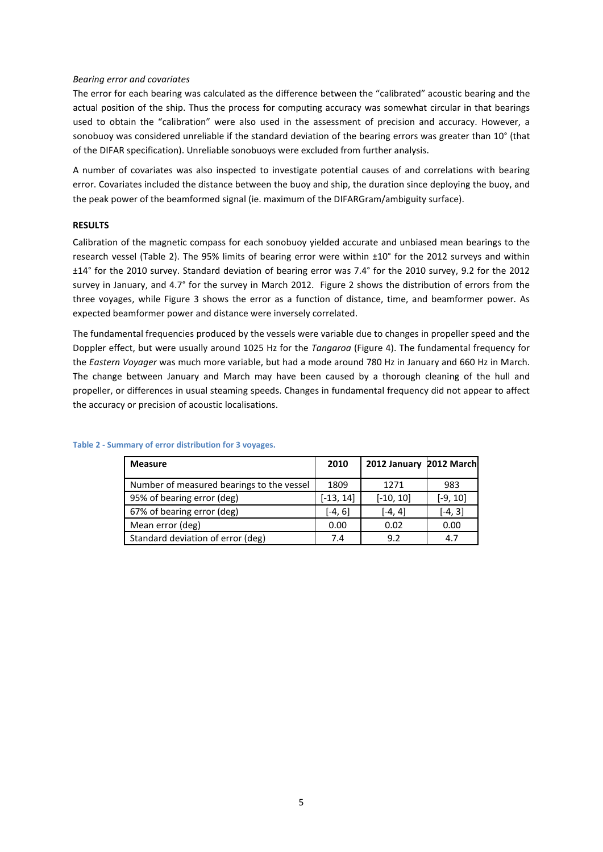# *Bearing error and covariates*

The error for each bearing was calculated as the difference between the "calibrated" acoustic bearing and the actual position of the ship. Thus the process for computing accuracy was somewhat circular in that bearings used to obtain the "calibration" were also used in the assessment of precision and accuracy. However, a sonobuoy was considered unreliable if the standard deviation of the bearing errors was greater than 10° (that of the DIFAR specification). Unreliable sonobuoys were excluded from further analysis.

A number of covariates was also inspected to investigate potential causes of and correlations with bearing error. Covariates included the distance between the buoy and ship, the duration since deploying the buoy, and the peak power of the beamformed signal (ie. maximum of the DIFARGram/ambiguity surface).

# **RESULTS**

Calibration of the magnetic compass for each sonobuoy yielded accurate and unbiased mean bearings to the research vessel [\(Table 2\)](#page-4-0). The 95% limits of bearing error were within ±10° for the 2012 surveys and within ±14° for the 2010 survey. Standard deviation of bearing error was 7.4° for the 2010 survey, 9.2 for the 2012 survey in January, and 4.7° for the survey in March 2012. [Figure 2](#page-5-0) shows the distribution of errors from the three voyages, while [Figure 3](#page-6-0) shows the error as a function of distance, time, and beamformer power. As expected beamformer power and distance were inversely correlated.

The fundamental frequencies produced by the vessels were variable due to changes in propeller speed and the Doppler effect, but were usually around 1025 Hz for the *Tangaroa* [\(Figure 4\)](#page-7-0). The fundamental frequency for the *Eastern Voyager* was much more variable, but had a mode around 780 Hz in January and 660 Hz in March. The change between January and March may have been caused by a thorough cleaning of the hull and propeller, or differences in usual steaming speeds. Changes in fundamental frequency did not appear to affect the accuracy or precision of acoustic localisations.

| <b>Measure</b>                            | 2010        | 2012 January 2012 March |            |
|-------------------------------------------|-------------|-------------------------|------------|
| Number of measured bearings to the vessel | 1809        | 1271                    | 983        |
| 95% of bearing error (deg)                | $[-13, 14]$ | $[-10, 10]$             | $[-9, 10]$ |
| 67% of bearing error (deg)                | [-4, 6]     | [-4, 4]                 | $[-4, 3]$  |
| Mean error (deg)                          | 0.00        | 0.02                    | 0.00       |
| Standard deviation of error (deg)         | 7.4         | 9.2                     | 4.7        |

## <span id="page-4-0"></span>**Table 2 - Summary of error distribution for 3 voyages.**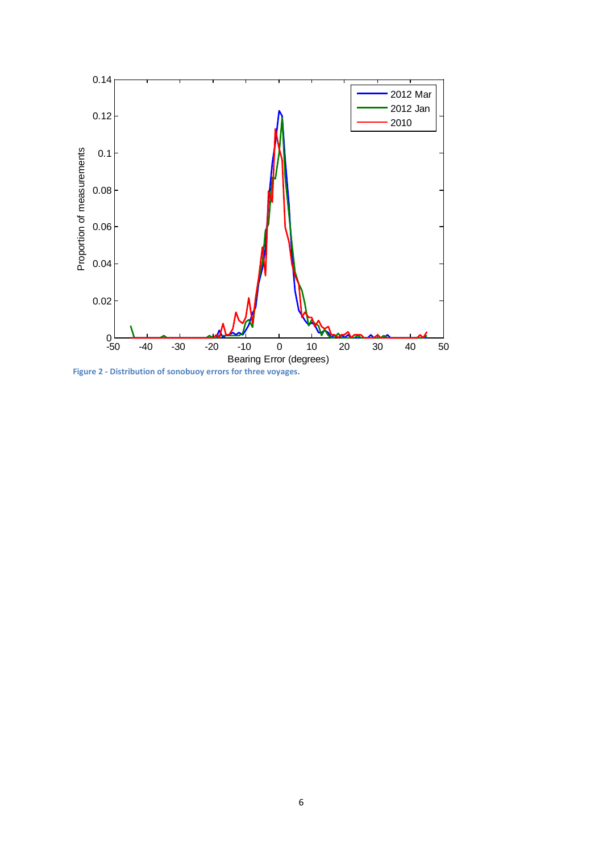![](_page_5_Figure_0.jpeg)

<span id="page-5-0"></span>**Figure 2 - Distribution of sonobuoy errors for three voyages.**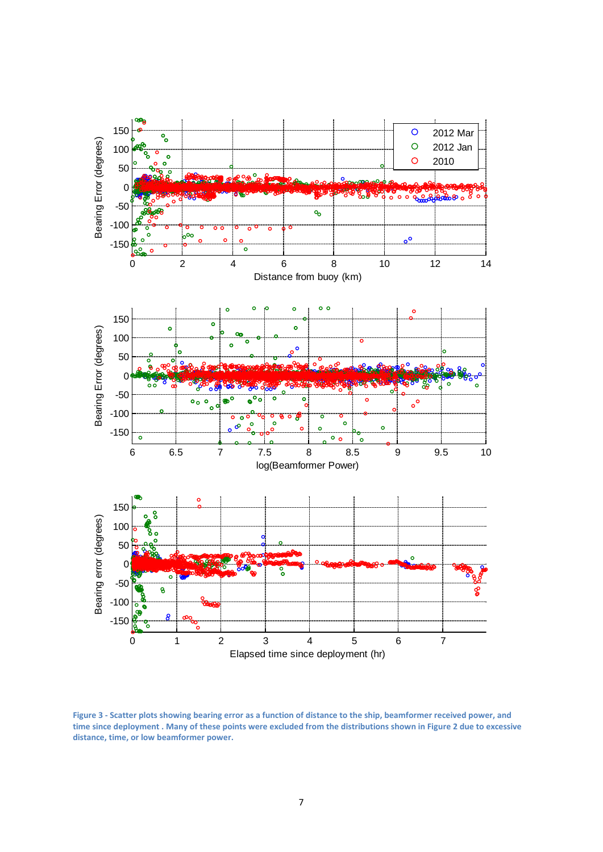![](_page_6_Figure_0.jpeg)

<span id="page-6-0"></span>**Figure 3 - Scatter plots showing bearing error as a function of distance to the ship, beamformer received power, and time since deployment . Many of these points were excluded from the distributions shown in [Figure 2](#page-5-0) due to excessive distance, time, or low beamformer power.**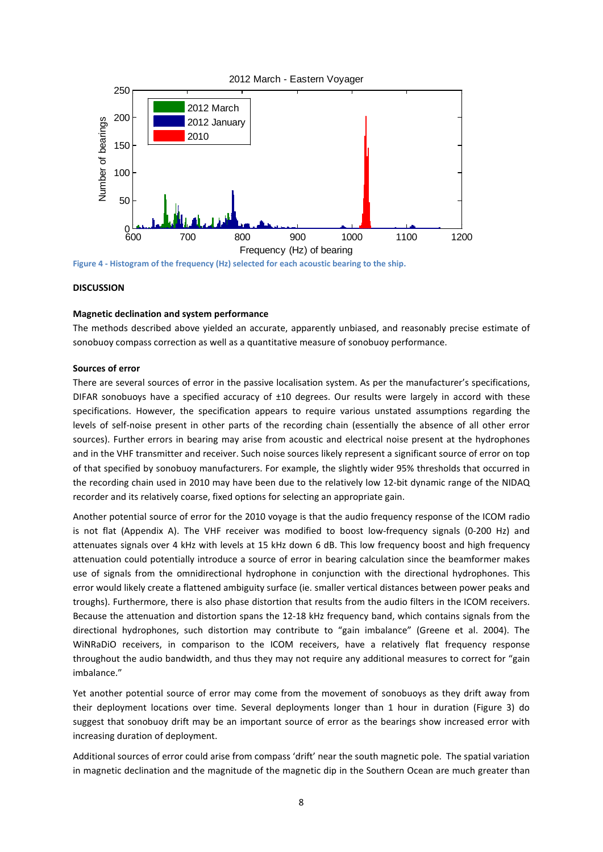![](_page_7_Figure_0.jpeg)

<span id="page-7-0"></span>**Figure 4 - Histogram of the frequency (Hz) selected for each acoustic bearing to the ship.**

# **DISCUSSION**

#### **Magnetic declination and system performance**

The methods described above yielded an accurate, apparently unbiased, and reasonably precise estimate of sonobuoy compass correction as well as a quantitative measure of sonobuoy performance.

#### **Sources of error**

There are several sources of error in the passive localisation system. As per the manufacturer's specifications, DIFAR sonobuoys have a specified accuracy of ±10 degrees. Our results were largely in accord with these specifications. However, the specification appears to require various unstated assumptions regarding the levels of self-noise present in other parts of the recording chain (essentially the absence of all other error sources). Further errors in bearing may arise from acoustic and electrical noise present at the hydrophones and in the VHF transmitter and receiver. Such noise sources likely represent a significant source of error on top of that specified by sonobuoy manufacturers. For example, the slightly wider 95% thresholds that occurred in the recording chain used in 2010 may have been due to the relatively low 12-bit dynamic range of the NIDAQ recorder and its relatively coarse, fixed options for selecting an appropriate gain.

Another potential source of error for the 2010 voyage is that the audio frequency response of the ICOM radio is not flat (Appendix A). The VHF receiver was modified to boost low-frequency signals (0-200 Hz) and attenuates signals over 4 kHz with levels at 15 kHz down 6 dB. This low frequency boost and high frequency attenuation could potentially introduce a source of error in bearing calculation since the beamformer makes use of signals from the omnidirectional hydrophone in conjunction with the directional hydrophones. This error would likely create a flattened ambiguity surface (ie. smaller vertical distances between power peaks and troughs). Furthermore, there is also phase distortion that results from the audio filters in the ICOM receivers. Because the attenuation and distortion spans the 12-18 kHz frequency band, which contains signals from the directional hydrophones, such distortion may contribute to "gain imbalance" (Greene et al. 2004). The WiNRaDiO receivers, in comparison to the ICOM receivers, have a relatively flat frequency response throughout the audio bandwidth, and thus they may not require any additional measures to correct for "gain imbalance."

Yet another potential source of error may come from the movement of sonobuoys as they drift away from their deployment locations over time. Several deployments longer than 1 hour in duration [\(Figure 3\)](#page-6-0) do suggest that sonobuoy drift may be an important source of error as the bearings show increased error with increasing duration of deployment.

Additional sources of error could arise from compass 'drift' near the south magnetic pole. The spatial variation in magnetic declination and the magnitude of the magnetic dip in the Southern Ocean are much greater than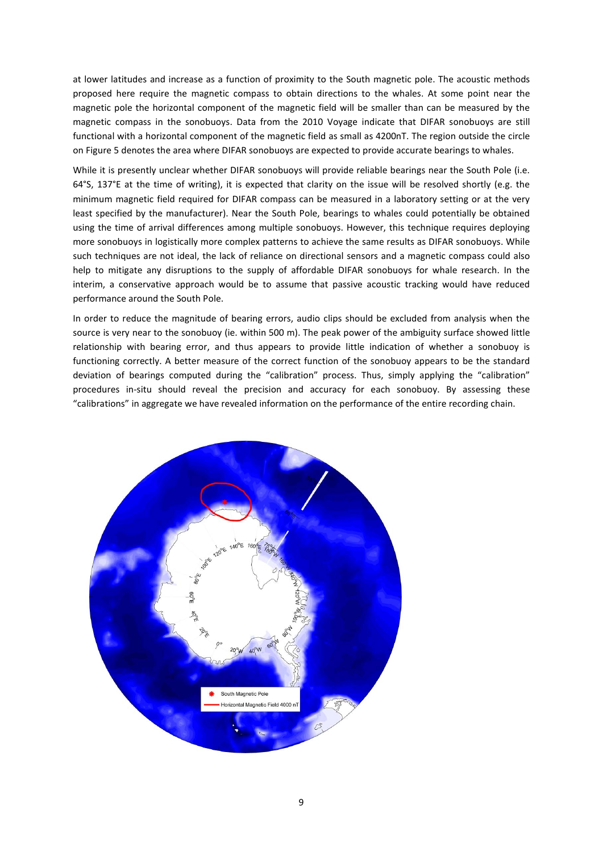at lower latitudes and increase as a function of proximity to the South magnetic pole. The acoustic methods proposed here require the magnetic compass to obtain directions to the whales. At some point near the magnetic pole the horizontal component of the magnetic field will be smaller than can be measured by the magnetic compass in the sonobuoys. Data from the 2010 Voyage indicate that DIFAR sonobuoys are still functional with a horizontal component of the magnetic field as small as 4200nT. The region outside the circle on Figure 5 denotes the area where DIFAR sonobuoys are expected to provide accurate bearings to whales.

While it is presently unclear whether DIFAR sonobuoys will provide reliable bearings near the South Pole (i.e. 64°S, 137°E at the time of writing), it is expected that clarity on the issue will be resolved shortly (e.g. the minimum magnetic field required for DIFAR compass can be measured in a laboratory setting or at the very least specified by the manufacturer). Near the South Pole, bearings to whales could potentially be obtained using the time of arrival differences among multiple sonobuoys. However, this technique requires deploying more sonobuoys in logistically more complex patterns to achieve the same results as DIFAR sonobuoys. While such techniques are not ideal, the lack of reliance on directional sensors and a magnetic compass could also help to mitigate any disruptions to the supply of affordable DIFAR sonobuoys for whale research. In the interim, a conservative approach would be to assume that passive acoustic tracking would have reduced performance around the South Pole.

In order to reduce the magnitude of bearing errors, audio clips should be excluded from analysis when the source is very near to the sonobuoy (ie. within 500 m). The peak power of the ambiguity surface showed little relationship with bearing error, and thus appears to provide little indication of whether a sonobuoy is functioning correctly. A better measure of the correct function of the sonobuoy appears to be the standard deviation of bearings computed during the "calibration" process. Thus, simply applying the "calibration" procedures in-situ should reveal the precision and accuracy for each sonobuoy. By assessing these "calibrations" in aggregate we have revealed information on the performance of the entire recording chain.

![](_page_8_Figure_3.jpeg)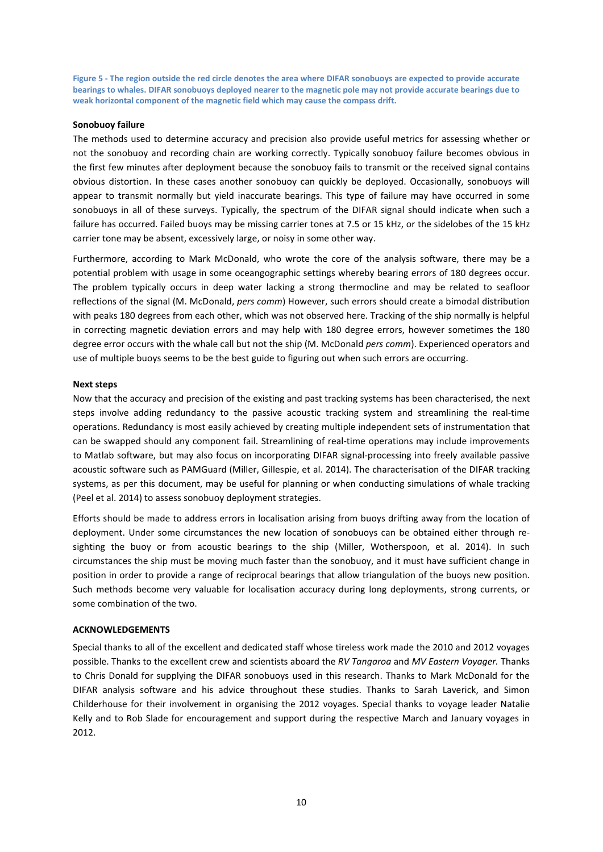**Figure 5 - The region outside the red circle denotes the area where DIFAR sonobuoys are expected to provide accurate bearings to whales. DIFAR sonobuoys deployed nearer to the magnetic pole may not provide accurate bearings due to weak horizontal component of the magnetic field which may cause the compass drift.**

# **Sonobuoy failure**

The methods used to determine accuracy and precision also provide useful metrics for assessing whether or not the sonobuoy and recording chain are working correctly. Typically sonobuoy failure becomes obvious in the first few minutes after deployment because the sonobuoy fails to transmit or the received signal contains obvious distortion. In these cases another sonobuoy can quickly be deployed. Occasionally, sonobuoys will appear to transmit normally but yield inaccurate bearings. This type of failure may have occurred in some sonobuoys in all of these surveys. Typically, the spectrum of the DIFAR signal should indicate when such a failure has occurred. Failed buoys may be missing carrier tones at 7.5 or 15 kHz, or the sidelobes of the 15 kHz carrier tone may be absent, excessively large, or noisy in some other way.

Furthermore, according to Mark McDonald, who wrote the core of the analysis software, there may be a potential problem with usage in some oceangographic settings whereby bearing errors of 180 degrees occur. The problem typically occurs in deep water lacking a strong thermocline and may be related to seafloor reflections of the signal (M. McDonald, *pers comm*) However, such errors should create a bimodal distribution with peaks 180 degrees from each other, which was not observed here. Tracking of the ship normally is helpful in correcting magnetic deviation errors and may help with 180 degree errors, however sometimes the 180 degree error occurs with the whale call but not the ship (M. McDonald *pers comm*). Experienced operators and use of multiple buoys seems to be the best guide to figuring out when such errors are occurring.

## **Next steps**

Now that the accuracy and precision of the existing and past tracking systems has been characterised, the next steps involve adding redundancy to the passive acoustic tracking system and streamlining the real-time operations. Redundancy is most easily achieved by creating multiple independent sets of instrumentation that can be swapped should any component fail. Streamlining of real-time operations may include improvements to Matlab software, but may also focus on incorporating DIFAR signal-processing into freely available passive acoustic software such as PAMGuard (Miller, Gillespie, et al. 2014). The characterisation of the DIFAR tracking systems, as per this document, may be useful for planning or when conducting simulations of whale tracking (Peel et al. 2014) to assess sonobuoy deployment strategies.

Efforts should be made to address errors in localisation arising from buoys drifting away from the location of deployment. Under some circumstances the new location of sonobuoys can be obtained either through resighting the buoy or from acoustic bearings to the ship (Miller, Wotherspoon, et al. 2014). In such circumstances the ship must be moving much faster than the sonobuoy, and it must have sufficient change in position in order to provide a range of reciprocal bearings that allow triangulation of the buoys new position. Such methods become very valuable for localisation accuracy during long deployments, strong currents, or some combination of the two.

## **ACKNOWLEDGEMENTS**

Special thanks to all of the excellent and dedicated staff whose tireless work made the 2010 and 2012 voyages possible. Thanks to the excellent crew and scientists aboard the *RV Tangaroa* and *MV Eastern Voyager.* Thanks to Chris Donald for supplying the DIFAR sonobuoys used in this research. Thanks to Mark McDonald for the DIFAR analysis software and his advice throughout these studies. Thanks to Sarah Laverick, and Simon Childerhouse for their involvement in organising the 2012 voyages. Special thanks to voyage leader Natalie Kelly and to Rob Slade for encouragement and support during the respective March and January voyages in 2012.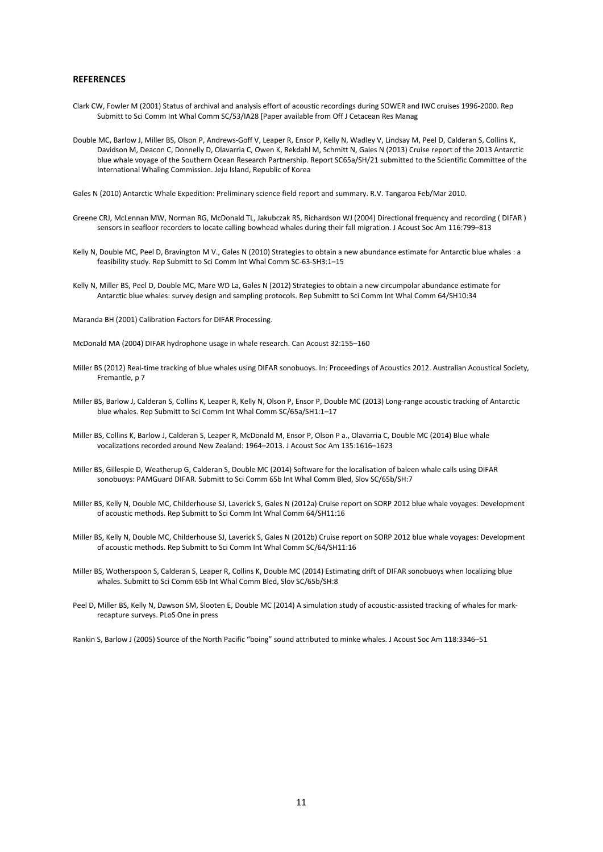#### **REFERENCES**

- Clark CW, Fowler M (2001) Status of archival and analysis effort of acoustic recordings during SOWER and IWC cruises 1996-2000. Rep Submitt to Sci Comm Int Whal Comm SC/53/IA28 [Paper available from Off J Cetacean Res Manag
- Double MC, Barlow J, Miller BS, Olson P, Andrews-Goff V, Leaper R, Ensor P, Kelly N, Wadley V, Lindsay M, Peel D, Calderan S, Collins K, Davidson M, Deacon C, Donnelly D, Olavarria C, Owen K, Rekdahl M, Schmitt N, Gales N (2013) Cruise report of the 2013 Antarctic blue whale voyage of the Southern Ocean Research Partnership. Report SC65a/SH/21 submitted to the Scientific Committee of the International Whaling Commission. Jeju Island, Republic of Korea
- Gales N (2010) Antarctic Whale Expedition: Preliminary science field report and summary. R.V. Tangaroa Feb/Mar 2010.
- Greene CRJ, McLennan MW, Norman RG, McDonald TL, Jakubczak RS, Richardson WJ (2004) Directional frequency and recording ( DIFAR ) sensors in seafloor recorders to locate calling bowhead whales during their fall migration. J Acoust Soc Am 116:799–813
- Kelly N, Double MC, Peel D, Bravington M V., Gales N (2010) Strategies to obtain a new abundance estimate for Antarctic blue whales : a feasibility study. Rep Submitt to Sci Comm Int Whal Comm SC-63-SH3:1–15
- Kelly N, Miller BS, Peel D, Double MC, Mare WD La, Gales N (2012) Strategies to obtain a new circumpolar abundance estimate for Antarctic blue whales: survey design and sampling protocols. Rep Submitt to Sci Comm Int Whal Comm 64/SH10:34
- Maranda BH (2001) Calibration Factors for DIFAR Processing.
- McDonald MA (2004) DIFAR hydrophone usage in whale research. Can Acoust 32:155–160
- Miller BS (2012) Real-time tracking of blue whales using DIFAR sonobuoys. In: Proceedings of Acoustics 2012. Australian Acoustical Society, Fremantle, p 7
- Miller BS, Barlow J, Calderan S, Collins K, Leaper R, Kelly N, Olson P, Ensor P, Double MC (2013) Long-range acoustic tracking of Antarctic blue whales. Rep Submitt to Sci Comm Int Whal Comm SC/65a/SH1:1–17
- Miller BS, Collins K, Barlow J, Calderan S, Leaper R, McDonald M, Ensor P, Olson P a., Olavarria C, Double MC (2014) Blue whale vocalizations recorded around New Zealand: 1964–2013. J Acoust Soc Am 135:1616–1623
- Miller BS, Gillespie D, Weatherup G, Calderan S, Double MC (2014) Software for the localisation of baleen whale calls using DIFAR sonobuoys: PAMGuard DIFAR. Submitt to Sci Comm 65b Int Whal Comm Bled, Slov SC/65b/SH:7
- Miller BS, Kelly N, Double MC, Childerhouse SJ, Laverick S, Gales N (2012a) Cruise report on SORP 2012 blue whale voyages: Development of acoustic methods. Rep Submitt to Sci Comm Int Whal Comm 64/SH11:16
- Miller BS, Kelly N, Double MC, Childerhouse SJ, Laverick S, Gales N (2012b) Cruise report on SORP 2012 blue whale voyages: Development of acoustic methods. Rep Submitt to Sci Comm Int Whal Comm SC/64/SH11:16
- Miller BS, Wotherspoon S, Calderan S, Leaper R, Collins K, Double MC (2014) Estimating drift of DIFAR sonobuoys when localizing blue whales. Submitt to Sci Comm 65b Int Whal Comm Bled, Slov SC/65b/SH:8
- Peel D, Miller BS, Kelly N, Dawson SM, Slooten E, Double MC (2014) A simulation study of acoustic-assisted tracking of whales for markrecapture surveys. PLoS One in press

Rankin S, Barlow J (2005) Source of the North Pacific "boing" sound attributed to minke whales. J Acoust Soc Am 118:3346–51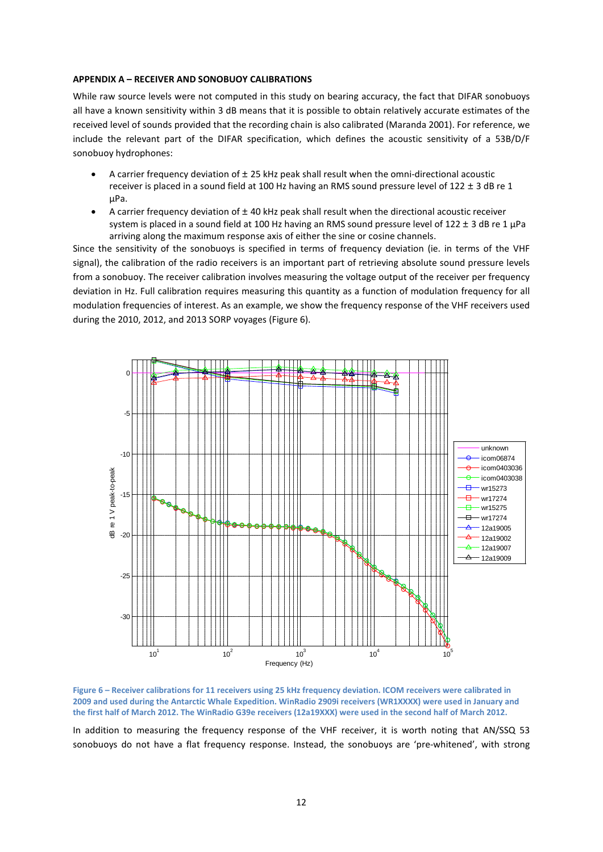## **APPENDIX A – RECEIVER AND SONOBUOY CALIBRATIONS**

While raw source levels were not computed in this study on bearing accuracy, the fact that DIFAR sonobuoys all have a known sensitivity within 3 dB means that it is possible to obtain relatively accurate estimates of the received level of sounds provided that the recording chain is also calibrated (Maranda 2001). For reference, we include the relevant part of the DIFAR specification, which defines the acoustic sensitivity of a 53B/D/F sonobuoy hydrophones:

- A carrier frequency deviation of  $\pm$  25 kHz peak shall result when the omni-directional acoustic receiver is placed in a sound field at 100 Hz having an RMS sound pressure level of 122 *±* 3 dB re 1 µPa.
- A carrier frequency deviation of *±* 40 kHz peak shall result when the directional acoustic receiver system is placed in a sound field at 100 Hz having an RMS sound pressure level of 122 *±* 3 dB re 1 µPa arriving along the maximum response axis of either the sine or cosine channels.

Since the sensitivity of the sonobuoys is specified in terms of frequency deviation (ie. in terms of the VHF signal), the calibration of the radio receivers is an important part of retrieving absolute sound pressure levels from a sonobuoy. The receiver calibration involves measuring the voltage output of the receiver per frequency deviation in Hz. Full calibration requires measuring this quantity as a function of modulation frequency for all modulation frequencies of interest. As an example, we show the frequency response of the VHF receivers used during the 2010, 2012, and 2013 SORP voyages [\(Figure 6\)](#page-11-0).

![](_page_11_Figure_5.jpeg)

<span id="page-11-0"></span>**Figure 6 – Receiver calibrations for 11 receivers using 25 kHz frequency deviation. ICOM receivers were calibrated in 2009 and used during the Antarctic Whale Expedition. WinRadio 2909i receivers (WR1XXXX) were used in January and the first half of March 2012. The WinRadio G39e receivers (12a19XXX) were used in the second half of March 2012.**

In addition to measuring the frequency response of the VHF receiver, it is worth noting that AN/SSQ 53 sonobuoys do not have a flat frequency response. Instead, the sonobuoys are 'pre-whitened', with strong